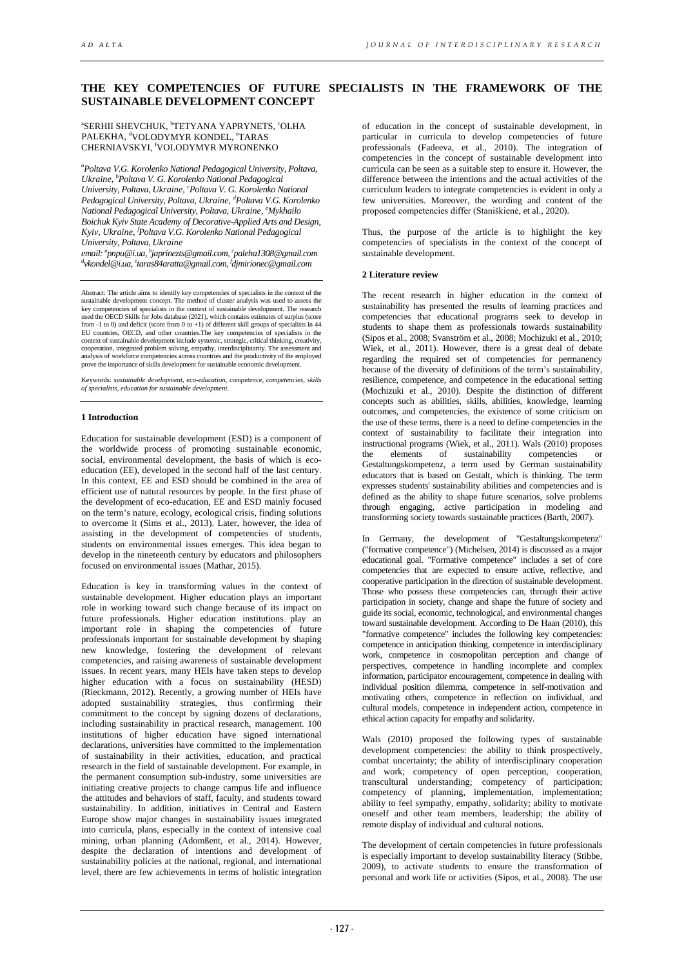# **THE KEY COMPETENCIES OF FUTURE SPECIALISTS IN THE FRAMEWORK OF THE SUSTAINABLE DEVELOPMENT CONCEPT**

## **"SERHII SHEVCHUK, "TETYANA YAPRYNETS, "OLHA** PALEKHA, <sup>d</sup>VOLODYMYR KONDEL, <sup>e</sup>TARAS CHERNIAVSKYI, <sup>f</sup>VOLODYMYR MYRONENKO

*a Poltava V.G. Korolenko National Pedagogical University, Poltava, Ukraine, b Poltava V. G. Korolenko National Pedagogical University, Poltava, Ukraine, c Poltava V. G. Korolenko National Pedagogical University, Poltava, Ukraine, d Poltava V.G. Korolenko National Pedagogical University, Poltava, Ukraine, e Mykhailo Boichuk Kyiv State Academy of Decorative-Applied Arts and Design, Kyiv, Ukraine, <sup>f</sup> Poltava V.G. Korolenko National Pedagogical*   $University, Poltava, Ukraine$ 

*email: pnpu@i.ua, b japrinezts@gmail.com, c paleha1308@gmail.com d vkondel@i.ua, e taras84aratta@gmail.com, f djmirionec@gmail.com*

Abstract: The article aims to identify key competencies of specialists in the context of the sustainable development concept. The method of cluster analysis was used to assess the key competencies of specialists in the context of sustainable development. The research<br>used the OECD Skills for Jobs database (2021), which contains estimates of surplus (score<br>from -1 to 0) and deficit (score from 0 to + EU countries, OECD, and other countries. The key competencies of specialists in the context of sustainable development include systemic, strategic, critical thinking, creativity, cooperation, integrated problem solving, empathy, interdisciplinarity. The assessment and analysis of workforce competencies ac

Keywords: *sustainable development, eco-education, competence, competencies, skills of specialists, education for sustainable development*.

## **1 Introduction**

Education for sustainable development (ESD) is a component of the worldwide process of promoting sustainable economic, social, environmental development, the basis of which is ecoeducation (EE), developed in the second half of the last century. In this context, EE and ESD should be combined in the area of efficient use of natural resources by people. In the first phase of the development of eco-education, EE and ESD mainly focused on the term's nature, ecology, ecological crisis, finding solutions to overcome it (Sims et al., 2013). Later, however, the idea of assisting in the development of competencies of students, students on environmental issues emerges. This idea began to develop in the nineteenth century by educators and philosophers focused on environmental issues (Mathar, 2015).

Education is key in transforming values in the context of sustainable development. Higher education plays an important role in working toward such change because of its impact on future professionals. Higher education institutions play an important role in shaping the competencies of future professionals important for sustainable development by shaping new knowledge, fostering the development of relevant competencies, and raising awareness of sustainable development issues. In recent years, many HEIs have taken steps to develop higher education with a focus on sustainability (HESD) (Rieckmann, 2012). Recently, a growing number of HEIs have adopted sustainability strategies, thus confirming their commitment to the concept by signing dozens of declarations, including sustainability in practical research, management. 100 institutions of higher education have signed international declarations, universities have committed to the implementation of sustainability in their activities, education, and practical research in the field of sustainable development. For example, in the permanent consumption sub-industry, some universities are initiating creative projects to change campus life and influence the attitudes and behaviors of staff, faculty, and students toward sustainability. In addition, initiatives in Central and Eastern Europe show major changes in sustainability issues integrated into curricula, plans, especially in the context of intensive coal mining, urban planning (Adomßent, et al., 2014). However, despite the declaration of intentions and development of sustainability policies at the national, regional, and international level, there are few achievements in terms of holistic integration

of education in the concept of sustainable development, in particular in curricula to develop competencies of future professionals (Fadeeva, et al., 2010). The integration of competencies in the concept of sustainable development into curricula can be seen as a suitable step to ensure it. However, the difference between the intentions and the actual activities of the curriculum leaders to integrate competencies is evident in only a few universities. Moreover, the wording and content of the proposed competencies differ (Staniškienė, et al., 2020).

Thus, the purpose of the article is to highlight the key competencies of specialists in the context of the concept of sustainable development.

## **2 Literature review**

The recent research in higher education in the context of sustainability has presented the results of learning practices and competencies that educational programs seek to develop in students to shape them as professionals towards sustainability (Sipos et al., 2008; Svanström et al., 2008; Mochizuki et al., 2010; Wiek, et al., 2011). However, there is a great deal of debate regarding the required set of competencies for permanency because of the diversity of definitions of the term's sustainability, resilience, competence, and competence in the educational setting (Mochizuki et al., 2010). Despite the distinction of different concepts such as abilities, skills, abilities, knowledge, learning outcomes, and competencies, the existence of some criticism on the use of these terms, there is a need to define competencies in the context of sustainability to facilitate their integration into instructional programs (Wiek, et al., 2011). Wals (2010) proposes the elements of sustainability competencies Gestaltungskompetenz, a term used by German sustainability educators that is based on Gestalt, which is thinking. The term expresses students' sustainability abilities and competencies and is defined as the ability to shape future scenarios, solve problems through engaging, active participation in modeling and transforming society towards sustainable practices (Barth, 2007).

In Germany, the development of "Gestaltungskompetenz" ("formative competence") (Michelsen, 2014) is discussed as a major educational goal. "Formative competence" includes a set of core competencies that are expected to ensure active, reflective, and cooperative participation in the direction of sustainable development. Those who possess these competencies can, through their active participation in society, change and shape the future of society and guide its social, economic, technological, and environmental changes toward sustainable development. According to De Haan (2010), this "formative competence" includes the following key competencies: competence in anticipation thinking, competence in interdisciplinary work, competence in cosmopolitan perception and change of perspectives, competence in handling incomplete and complex information, participator encouragement, competence in dealing with individual position dilemma, competence in self-motivation and motivating others, competence in reflection on individual, and cultural models, competence in independent action, competence in ethical action capacity for empathy and solidarity.

Wals (2010) proposed the following types of sustainable development competencies: the ability to think prospectively, combat uncertainty; the ability of interdisciplinary cooperation and work; competency of open perception, cooperation, transcultural understanding; competency of participation; competency of planning, implementation, implementation; ability to feel sympathy, empathy, solidarity; ability to motivate oneself and other team members, leadership; the ability of remote display of individual and cultural notions.

The development of certain competencies in future professionals is especially important to develop sustainability literacy (Stibbe, 2009), to activate students to ensure the transformation of personal and work life or activities (Sipos, et al., 2008). The use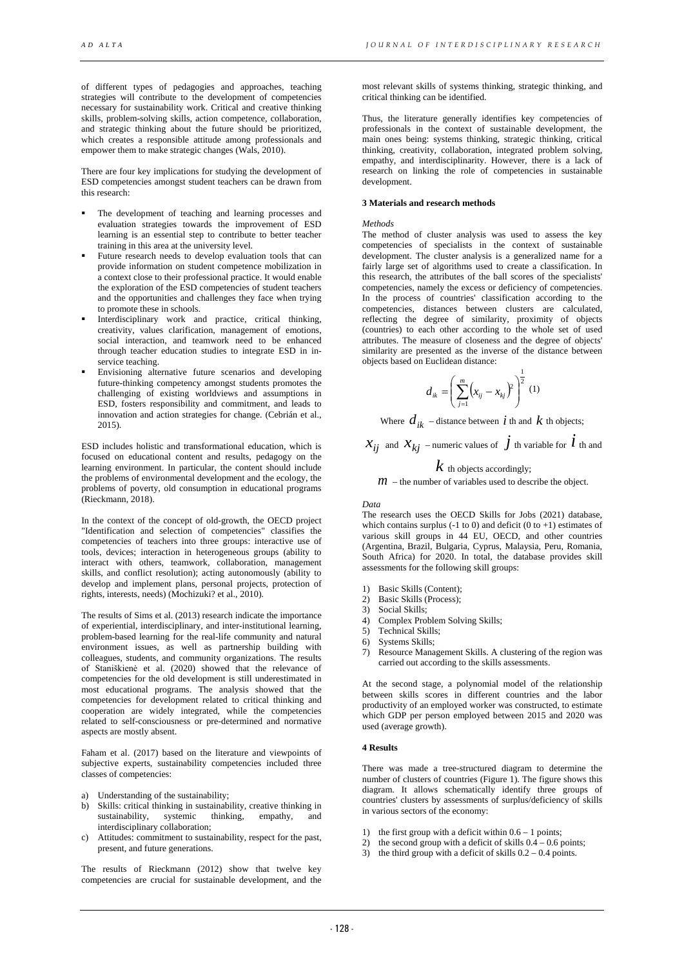of different types of pedagogies and approaches, teaching strategies will contribute to the development of competencies necessary for sustainability work. Critical and creative thinking skills, problem-solving skills, action competence, collaboration, and strategic thinking about the future should be prioritized, which creates a responsible attitude among professionals and empower them to make strategic changes (Wals, 2010).

There are four key implications for studying the development of ESD competencies amongst student teachers can be drawn from this research:

- The development of teaching and learning processes and evaluation strategies towards the improvement of ESD learning is an essential step to contribute to better teacher training in this area at the university level.
- Future research needs to develop evaluation tools that can provide information on student competence mobilization in a context close to their professional practice. It would enable the exploration of the ESD competencies of student teachers and the opportunities and challenges they face when trying to promote these in schools.
- Interdisciplinary work and practice, critical thinking, creativity, values clarification, management of emotions, social interaction, and teamwork need to be enhanced through teacher education studies to integrate ESD in inservice teaching.
- Envisioning alternative future scenarios and developing future-thinking competency amongst students promotes the challenging of existing worldviews and assumptions in ESD, fosters responsibility and commitment, and leads to innovation and action strategies for change. (Cebrián et al., 2015).

ESD includes holistic and transformational education, which is focused on educational content and results, pedagogy on the learning environment. In particular, the content should include the problems of environmental development and the ecology, the problems of poverty, old consumption in educational programs (Rieckmann, 2018).

In the context of the concept of old-growth, the OECD project "Identification and selection of competencies" classifies the competencies of teachers into three groups: interactive use of tools, devices; interaction in heterogeneous groups (ability to interact with others, teamwork, collaboration, management skills, and conflict resolution); acting autonomously (ability to develop and implement plans, personal projects, protection of rights, interests, needs) (Mochizuki? et al., 2010).

The results of Sims et al. (2013) research indicate the importance of experiential, interdisciplinary, and inter-institutional learning, problem-based learning for the real-life community and natural environment issues, as well as partnership building with colleagues, students, and community organizations. The results of Staniškienė et al. (2020) showed that the relevance of competencies for the old development is still underestimated in most educational programs. The analysis showed that the competencies for development related to critical thinking and cooperation are widely integrated, while the competencies related to self-consciousness or pre-determined and normative aspects are mostly absent.

Faham et al. (2017) based on the literature and viewpoints of subjective experts, sustainability competencies included three classes of competencies:

- a) Understanding of the sustainability;
- b) Skills: critical thinking in sustainability, creative thinking in sustainability, systemic thinking, empathy, and interdisciplinary collaboration;
- c) Attitudes: commitment to sustainability, respect for the past, present, and future generations.

The results of Rieckmann (2012) show that twelve key competencies are crucial for sustainable development, and the

most relevant skills of systems thinking, strategic thinking, and critical thinking can be identified.

Thus, the literature generally identifies key competencies of professionals in the context of sustainable development, the main ones being: systems thinking, strategic thinking, critical thinking, creativity, collaboration, integrated problem solving, empathy, and interdisciplinarity. However, there is a lack of research on linking the role of competencies in sustainable development.

## **3 Materials and research methods**

*Methods*

The method of cluster analysis was used to assess the key competencies of specialists in the context of sustainable development. The cluster analysis is a generalized name for a fairly large set of algorithms used to create a classification. In this research, the attributes of the ball scores of the specialists' competencies, namely the excess or deficiency of competencies. In the process of countries' classification according to the competencies, distances between clusters are calculated, reflecting the degree of similarity, proximity of objects (countries) to each other according to the whole set of used attributes. The measure of closeness and the degree of objects' similarity are presented as the inverse of the distance between objects based on Euclidean distance:

$$
d_{ik} = \left(\sum_{j=1}^{m} (x_{ij} - x_{kj})^2\right)^{\frac{1}{2}} (1)
$$

Where  $d_{ik}$  – distance between *i* th and *k* th objects;

 $\mathcal{X}_{ij}$  and  $\mathcal{X}_{kj}$  – numeric values of  $\dot{J}$  th variable for  $\dot{l}$  th and

## *k* th objects accordingly;

 $m$  – the number of variables used to describe the object.

#### *Data*

The research uses the OECD Skills for Jobs (2021) database, which contains surplus  $(-1 \text{ to } 0)$  and deficit  $(0 \text{ to } +1)$  estimates of various skill groups in 44 EU, OECD, and other countries (Argentina, Brazil, Bulgaria, Cyprus, Malaysia, Peru, Romania, South Africa) for 2020. In total, the database provides skill assessments for the following skill groups:

- 1) Basic Skills (Content);<br>2) Basic Skills (Process);
- 2) Basic Skills (Process);<br>3) Social Skills:
- 3) Social Skills;<br>4) Complex Prol
- 4) Complex Problem Solving Skills;
- 5) Technical Skills;
- 6) Systems Skills;<br>7) Resource Manae
- Resource Management Skills. A clustering of the region was carried out according to the skills assessments.

At the second stage, a polynomial model of the relationship between skills scores in different countries and the labor productivity of an employed worker was constructed, to estimate which GDP per person employed between 2015 and 2020 was used (average growth).

## **4 Results**

There was made a tree-structured diagram to determine the number of clusters of countries (Figure 1). The figure shows this diagram. It allows schematically identify three groups of countries' clusters by assessments of surplus/deficiency of skills in various sectors of the economy:

- 1) the first group with a deficit within  $0.6 1$  points;
- 2) the second group with a deficit of skills  $0.\overline{4} 0.6$  points;
- 3) the third group with a deficit of skills  $0.2 0.4$  points.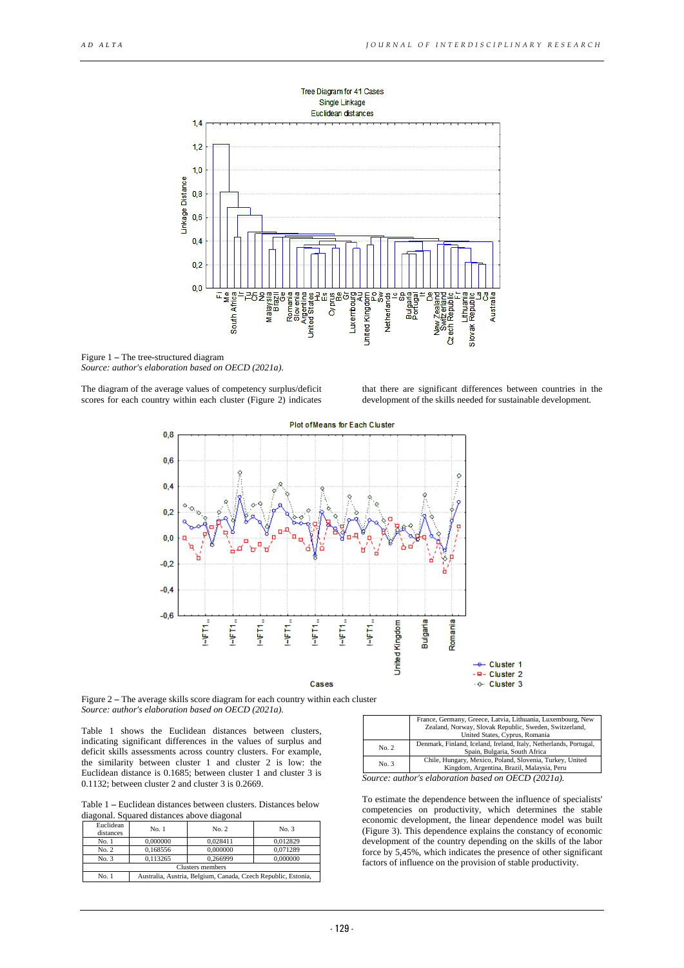

Figure 1 **–** The tree-structured diagram *Source: author's elaboration based on OECD (2021a).*

The diagram of the average values of competency surplus/deficit scores for each country within each cluster (Figure 2) indicates

that there are significant differences between countries in the development of the skills needed for sustainable development.



Figure 2 **–** The average skills score diagram for each country within each cluster *Source: author's elaboration based on OECD (2021a).*

Table 1 shows the Euclidean distances between clusters, indicating significant differences in the values of surplus and deficit skills assessments across country clusters. For example, the similarity between cluster 1 and cluster 2 is low: the Euclidean distance is 0.1685; between cluster 1 and cluster 3 is 0.1132; between cluster 2 and cluster 3 is 0.2669.

Table 1 **–** Euclidean distances between clusters. Distances below diagonal. Squared distances above diagonal

| Euclidean<br>distances | No. 1                                                         | No. 2    | No. 3    |
|------------------------|---------------------------------------------------------------|----------|----------|
| No. 1                  | 0.000000                                                      | 0.028411 | 0.012829 |
| No. 2                  | 0.168556                                                      | 0.000000 | 0.071289 |
| No. 3                  | 0.113265                                                      | 0.266999 | 0.000000 |
| Clusters members       |                                                               |          |          |
| No. 1                  | Australia, Austria, Belgium, Canada, Czech Republic, Estonia, |          |          |

|       | France, Germany, Greece, Latvia, Lithuania, Luxembourg, New<br>Zealand, Norway, Slovak Republic, Sweden, Switzerland,<br>United States, Cyprus, Romania |  |
|-------|---------------------------------------------------------------------------------------------------------------------------------------------------------|--|
| No. 2 | Denmark, Finland, Iceland, Ireland, Italy, Netherlands, Portugal,<br>Spain, Bulgaria, South Africa                                                      |  |
| No. 3 | Chile, Hungary, Mexico, Poland, Slovenia, Turkey, United<br>Kingdom, Argentina, Brazil, Malaysia, Peru                                                  |  |
|       | Source: author's elaboration based on OECD (2021a).                                                                                                     |  |

To estimate the dependence between the influence of specialists' competencies on productivity, which determines the stable economic development, the linear dependence model was built (Figure 3). This dependence explains the constancy of economic development of the country depending on the skills of the labor force by 5,45%, which indicates the presence of other significant factors of influence on the provision of stable productivity.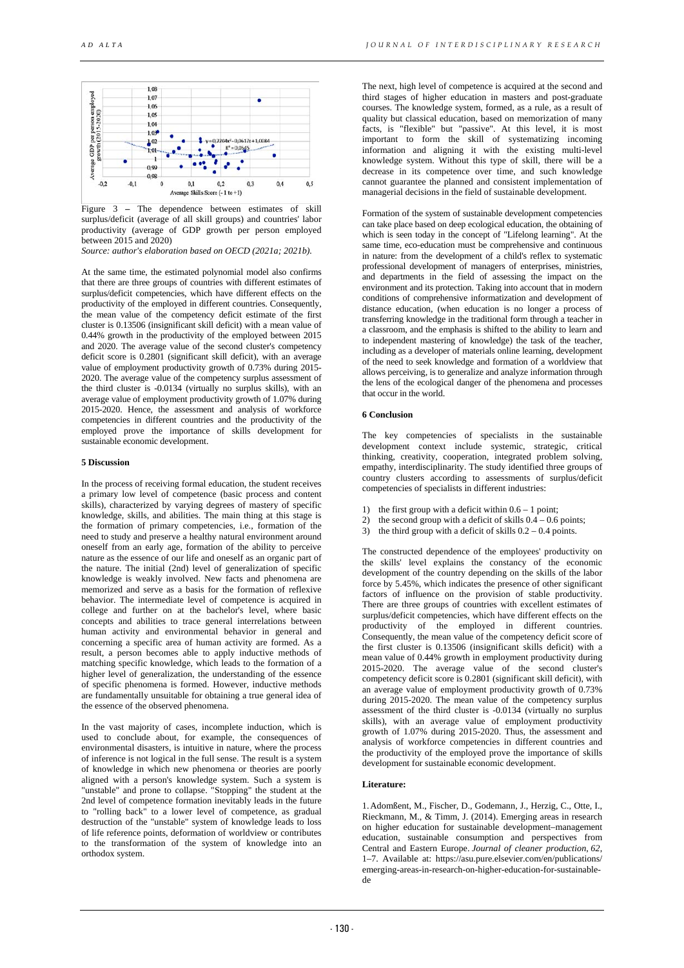

Figure 3 **–** The dependence between estimates of skill surplus/deficit (average of all skill groups) and countries' labor productivity (average of GDP growth per person employed between 2015 and 2020)

*Source: author's elaboration based on OECD (2021a; 2021b).*

At the same time, the estimated polynomial model also confirms that there are three groups of countries with different estimates of surplus/deficit competencies, which have different effects on the productivity of the employed in different countries. Consequently, the mean value of the competency deficit estimate of the first cluster is 0.13506 (insignificant skill deficit) with a mean value of 0.44% growth in the productivity of the employed between 2015 and 2020. The average value of the second cluster's competency deficit score is 0.2801 (significant skill deficit), with an average value of employment productivity growth of 0.73% during 2015- 2020. The average value of the competency surplus assessment of the third cluster is -0.0134 (virtually no surplus skills), with an average value of employment productivity growth of 1.07% during 2015-2020. Hence, the assessment and analysis of workforce competencies in different countries and the productivity of the employed prove the importance of skills development for sustainable economic development.

#### **5 Discussion**

In the process of receiving formal education, the student receives a primary low level of competence (basic process and content skills), characterized by varying degrees of mastery of specific knowledge, skills, and abilities. The main thing at this stage is the formation of primary competencies, i.e., formation of the need to study and preserve a healthy natural environment around oneself from an early age, formation of the ability to perceive nature as the essence of our life and oneself as an organic part of the nature. The initial (2nd) level of generalization of specific knowledge is weakly involved. New facts and phenomena are memorized and serve as a basis for the formation of reflexive behavior. The intermediate level of competence is acquired in college and further on at the bachelor's level, where basic concepts and abilities to trace general interrelations between human activity and environmental behavior in general and concerning a specific area of human activity are formed. As a result, a person becomes able to apply inductive methods of matching specific knowledge, which leads to the formation of a higher level of generalization, the understanding of the essence of specific phenomena is formed. However, inductive methods are fundamentally unsuitable for obtaining a true general idea of the essence of the observed phenomena.

In the vast majority of cases, incomplete induction, which is used to conclude about, for example, the consequences of environmental disasters, is intuitive in nature, where the process of inference is not logical in the full sense. The result is a system of knowledge in which new phenomena or theories are poorly aligned with a person's knowledge system. Such a system is "unstable" and prone to collapse. "Stopping" the student at the 2nd level of competence formation inevitably leads in the future to "rolling back" to a lower level of competence, as gradual destruction of the "unstable" system of knowledge leads to loss of life reference points, deformation of worldview or contributes to the transformation of the system of knowledge into an orthodox system.

The next, high level of competence is acquired at the second and third stages of higher education in masters and post-graduate courses. The knowledge system, formed, as a rule, as a result of quality but classical education, based on memorization of many facts, is "flexible" but "passive". At this level, it is most important to form the skill of systematizing incoming information and aligning it with the existing multi-level knowledge system. Without this type of skill, there will be a decrease in its competence over time, and such knowledge cannot guarantee the planned and consistent implementation of managerial decisions in the field of sustainable development.

Formation of the system of sustainable development competencies can take place based on deep ecological education, the obtaining of which is seen today in the concept of "Lifelong learning". At the same time, eco-education must be comprehensive and continuous in nature: from the development of a child's reflex to systematic professional development of managers of enterprises, ministries, and departments in the field of assessing the impact on the environment and its protection. Taking into account that in modern conditions of comprehensive informatization and development of distance education, (when education is no longer a process of transferring knowledge in the traditional form through a teacher in a classroom, and the emphasis is shifted to the ability to learn and to independent mastering of knowledge) the task of the teacher, including as a developer of materials online learning, development of the need to seek knowledge and formation of a worldview that allows perceiving, is to generalize and analyze information through the lens of the ecological danger of the phenomena and processes that occur in the world.

#### **6 Conclusion**

The key competencies of specialists in the sustainable development context include systemic, strategic, critical thinking, creativity, cooperation, integrated problem solving, empathy, interdisciplinarity. The study identified three groups of country clusters according to assessments of surplus/deficit competencies of specialists in different industries:

- the first group with a deficit within  $0.6 1$  point;
- 2) the second group with a deficit of skills  $0.4 0.6$  points;
- 3) the third group with a deficit of skills  $0.2 0.4$  points.

The constructed dependence of the employees' productivity on the skills' level explains the constancy of the economic development of the country depending on the skills of the labor force by 5.45%, which indicates the presence of other significant factors of influence on the provision of stable productivity. There are three groups of countries with excellent estimates of surplus/deficit competencies, which have different effects on the productivity of the employed in different countries. Consequently, the mean value of the competency deficit score of the first cluster is 0.13506 (insignificant skills deficit) with a mean value of 0.44% growth in employment productivity during 2015-2020. The average value of the second cluster's competency deficit score is 0.2801 (significant skill deficit), with an average value of employment productivity growth of 0.73% during 2015-2020. The mean value of the competency surplus assessment of the third cluster is -0.0134 (virtually no surplus skills), with an average value of employment productivity growth of 1.07% during 2015-2020. Thus, the assessment and analysis of workforce competencies in different countries and the productivity of the employed prove the importance of skills development for sustainable economic development.

### **Literature:**

1.Adomßent, M., Fischer, D., Godemann, J., Herzig, C., Otte, I., Rieckmann, M., & Timm, J. (2014). Emerging areas in research on higher education for sustainable development–management education, sustainable consumption and perspectives from Central and Eastern Europe. *Journal of cleaner production*, *62*, 1–7. Available at: https://asu.pure.elsevier.com/en/publications/ emerging-areas-in-research-on-higher-education-for-sustainablede